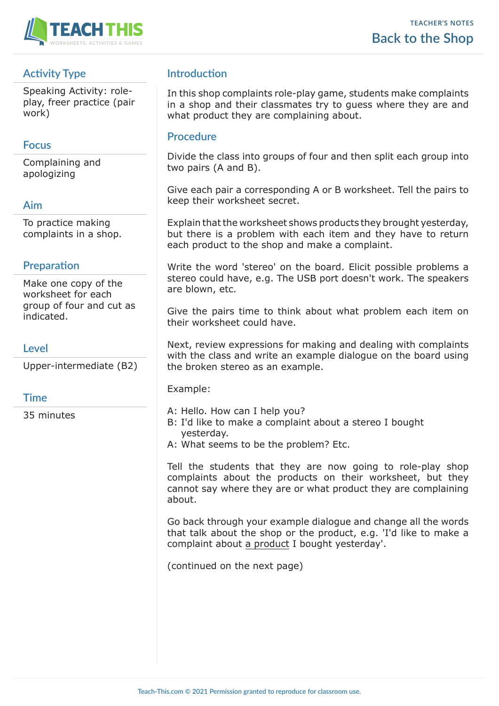

# **Activity Type**

Speaking Activity: roleplay, freer practice (pair work)

## **Focus**

Complaining and apologizing

# **Aim**

To practice making complaints in a shop.

# **Preparation**

Make one copy of the worksheet for each group of four and cut as indicated.

### **Level**

Upper-intermediate (B2)

#### **Time**

35 minutes

# **Introduction**

In this shop complaints role-play game, students make complaints in a shop and their classmates try to guess where they are and what product they are complaining about.

### **Procedure**

Divide the class into groups of four and then split each group into two pairs (A and B).

Give each pair a corresponding A or B worksheet. Tell the pairs to keep their worksheet secret.

Explain that the worksheet shows products they brought yesterday, but there is a problem with each item and they have to return each product to the shop and make a complaint.

Write the word 'stereo' on the board. Elicit possible problems a stereo could have, e.g. The USB port doesn't work. The speakers are blown, etc.

Give the pairs time to think about what problem each item on their worksheet could have.

Next, review expressions for making and dealing with complaints with the class and write an example dialogue on the board using the broken stereo as an example.

Example:

- A: Hello. How can I help you?
- B: I'd like to make a complaint about a stereo I bought yesterday.
- A: What seems to be the problem? Etc.

Tell the students that they are now going to role-play shop complaints about the products on their worksheet, but they cannot say where they are or what product they are complaining about.

Go back through your example dialogue and change all the words that talk about the shop or the product, e.g. 'I'd like to make a complaint about a product I bought yesterday'.

(continued on the next page)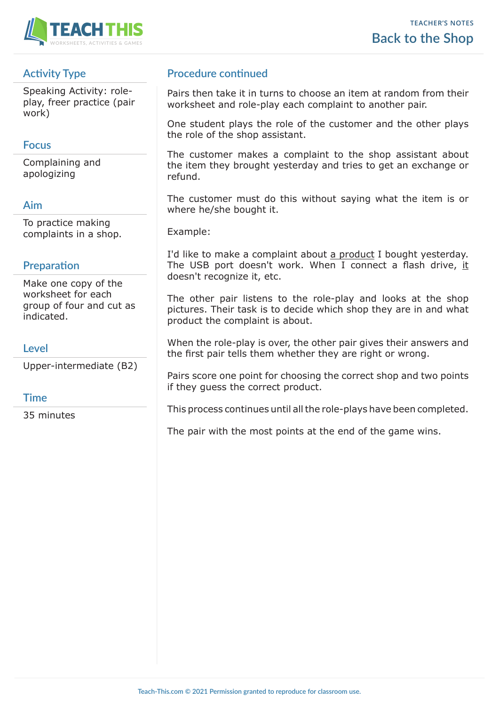

# **Activity Type**

Speaking Activity: roleplay, freer practice (pair work)

## **Focus**

Complaining and apologizing

# **Aim**

To practice making complaints in a shop.

# **Preparation**

Make one copy of the worksheet for each group of four and cut as indicated.

### **Level**

Upper-intermediate (B2)

#### **Time**

35 minutes

## **Procedure continued**

Pairs then take it in turns to choose an item at random from their worksheet and role-play each complaint to another pair.

One student plays the role of the customer and the other plays the role of the shop assistant.

The customer makes a complaint to the shop assistant about the item they brought yesterday and tries to get an exchange or refund.

The customer must do this without saying what the item is or where he/she bought it.

Example:

I'd like to make a complaint about a product I bought yesterday. The USB port doesn't work. When I connect a flash drive, it doesn't recognize it, etc.

The other pair listens to the role-play and looks at the shop pictures. Their task is to decide which shop they are in and what product the complaint is about.

When the role-play is over, the other pair gives their answers and the first pair tells them whether they are right or wrong.

Pairs score one point for choosing the correct shop and two points if they guess the correct product.

This process continues until all the role-plays have been completed.

The pair with the most points at the end of the game wins.